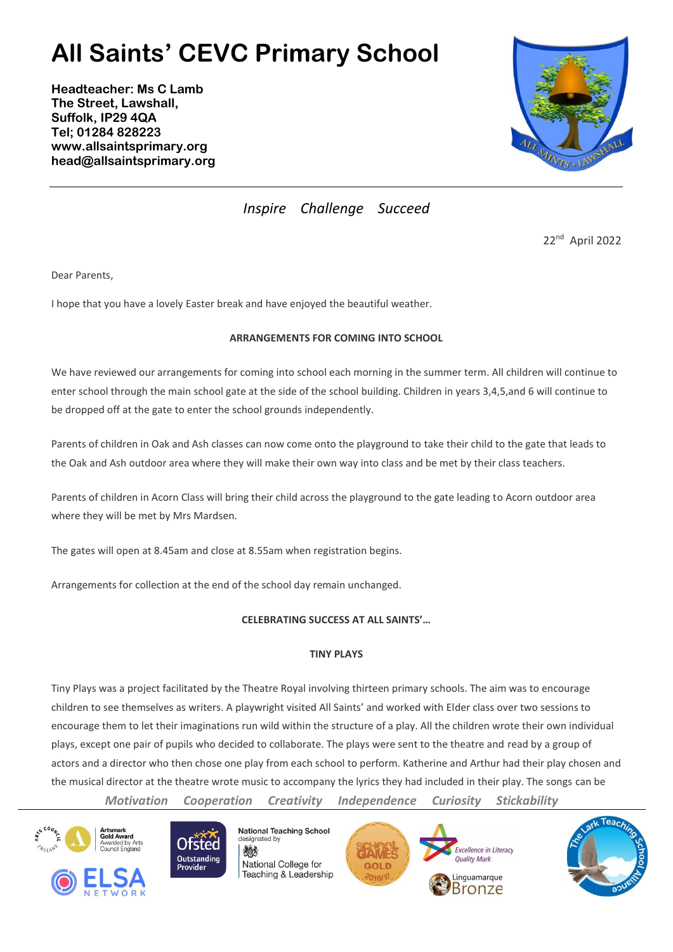# **All Saints' CEVC Primary School**

**Headteacher: Ms C Lamb The Street, Lawshall, Suffolk, IP29 4QA Tel; 01284 828223 www.allsaintsprimary.org head@allsaintsprimary.org**



*Inspire Challenge Succeed*

22nd April 2022

Dear Parents,

I hope that you have a lovely Easter break and have enjoyed the beautiful weather.

## **ARRANGEMENTS FOR COMING INTO SCHOOL**

We have reviewed our arrangements for coming into school each morning in the summer term. All children will continue to enter school through the main school gate at the side of the school building. Children in years 3,4,5,and 6 will continue to be dropped off at the gate to enter the school grounds independently.

Parents of children in Oak and Ash classes can now come onto the playground to take their child to the gate that leads to the Oak and Ash outdoor area where they will make their own way into class and be met by their class teachers.

Parents of children in Acorn Class will bring their child across the playground to the gate leading to Acorn outdoor area where they will be met by Mrs Mardsen.

The gates will open at 8.45am and close at 8.55am when registration begins.

Arrangements for collection at the end of the school day remain unchanged.

## **CELEBRATING SUCCESS AT ALL SAINTS'…**

## **TINY PLAYS**

Tiny Plays was a project facilitated by the Theatre Royal involving thirteen primary schools. The aim was to encourage children to see themselves as writers. A playwright visited All Saints' and worked with Elder class over two sessions to encourage them to let their imaginations run wild within the structure of a play. All the children wrote their own individual plays, except one pair of pupils who decided to collaborate. The plays were sent to the theatre and read by a group of actors and a director who then chose one play from each school to perform. Katherine and Arthur had their play chosen and the musical director at the theatre wrote music to accompany the lyrics they had included in their play. The songs can be

*Motivation Cooperation Creativity Independence Curiosity Stickability*





lesignated by 燃 National College for Teaching & Leadership